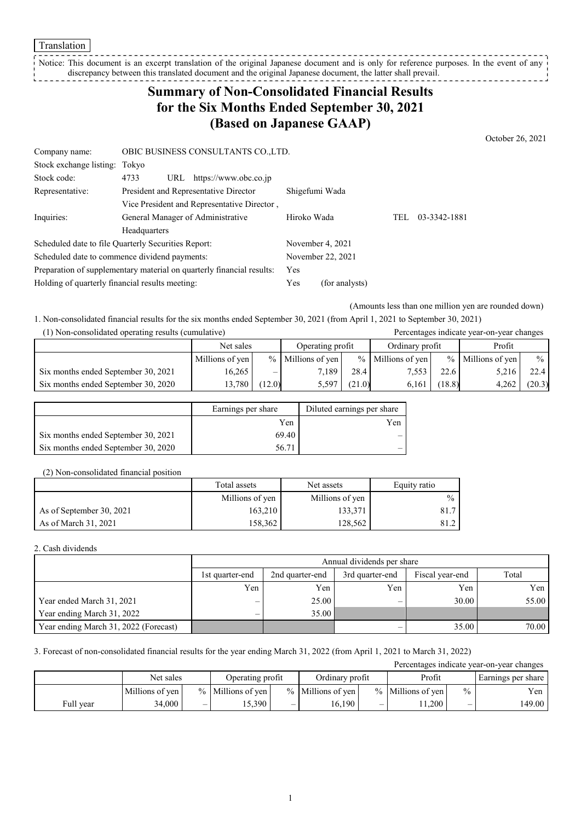Notice: This document is an excerpt translation of the original Japanese document and is only for reference purposes. In the event of any discrepancy between this translated document and the original Japanese document, the latter shall prevail. ------------------

# **Summary of Non-Consolidated Financial Results for the Six Months Ended September 30, 2021 (Based on Japanese GAAP)**

October 26, 2021

| Company name:                                       |                                   | OBIC BUSINESS CONSULTANTS CO.,LTD.                                    |                |                   |     |              |
|-----------------------------------------------------|-----------------------------------|-----------------------------------------------------------------------|----------------|-------------------|-----|--------------|
| Stock exchange listing: Tokyo                       |                                   |                                                                       |                |                   |     |              |
| Stock code:                                         | 4733<br>URL                       | https://www.obc.co.jp                                                 |                |                   |     |              |
| Representative:                                     |                                   | President and Representative Director                                 | Shigefumi Wada |                   |     |              |
|                                                     |                                   | Vice President and Representative Director,                           |                |                   |     |              |
| Inquiries:                                          | General Manager of Administrative |                                                                       | Hiroko Wada    |                   | TEL | 03-3342-1881 |
|                                                     | Headquarters                      |                                                                       |                |                   |     |              |
| Scheduled date to file Quarterly Securities Report: |                                   |                                                                       |                | November 4, 2021  |     |              |
| Scheduled date to commence dividend payments:       |                                   |                                                                       |                | November 22, 2021 |     |              |
|                                                     |                                   | Preparation of supplementary material on quarterly financial results: | Yes            |                   |     |              |
| Holding of quarterly financial results meeting:     |                                   | Yes                                                                   | (for analysts) |                   |     |              |

(Amounts less than one million yen are rounded down)

1. Non-consolidated financial results for the six months ended September 30, 2021 (from April 1, 2021 to September 30, 2021)

| (1) Non-consolidated operating results (cumulative) |                 |        |                     |        |                     |        | Percentages indicate year-on-year changes |        |
|-----------------------------------------------------|-----------------|--------|---------------------|--------|---------------------|--------|-------------------------------------------|--------|
|                                                     | Net sales       |        | Operating profit    |        | Ordinary profit     |        | Profit                                    |        |
|                                                     | Millions of yen |        | $%$ Millions of yen |        | $%$ Millions of ven |        | % Millions of yen                         | $\%$   |
| Six months ended September 30, 2021                 | 16.265          | —      | 7.189               | 28.4   | 7,553               | 22.6   | 5,216                                     | 22.4   |
| Six months ended September 30, 2020                 | 13.780          | (12.0) | 5.597               | (21.0) | 6.161               | (18.8) | 4.262                                     | (20.3) |

|                                     | Earnings per share | Diluted earnings per share |
|-------------------------------------|--------------------|----------------------------|
|                                     | Yen                | Yen                        |
| Six months ended September 30, 2021 | 69.40              |                            |
| Six months ended September 30, 2020 | 56.71              |                            |

#### (2) Non-consolidated financial position

|                          | Total assets<br>Net assets |                 | Equity ratio  |
|--------------------------|----------------------------|-----------------|---------------|
|                          | Millions of yen            | Millions of yen | $\frac{0}{0}$ |
| As of September 30, 2021 | 163,210                    | 133,371         | 81.7          |
| As of March 31, 2021     | 158,362                    | 128,562         | 81.2          |

2. Cash dividends

|                                       | Annual dividends per share                                               |       |     |       |       |  |  |
|---------------------------------------|--------------------------------------------------------------------------|-------|-----|-------|-------|--|--|
|                                       | 3rd quarter-end<br>Fiscal year-end<br>2nd quarter-end<br>1st quarter-end |       |     |       |       |  |  |
|                                       | Yen                                                                      | Yen   | Yen | Yen   | Yen   |  |  |
| Year ended March 31, 2021             | —                                                                        | 25.00 | –   | 30.00 | 55.00 |  |  |
| Year ending March 31, 2022            | $\overline{\phantom{0}}$                                                 | 35.00 |     |       |       |  |  |
| Year ending March 31, 2022 (Forecast) |                                                                          |       |     | 35.00 | 70.00 |  |  |

3. Forecast of non-consolidated financial results for the year ending March 31, 2022 (from April 1, 2021 to March 31, 2022)

| Percentages indicate year-on-year changes |                 |                          |                     |  |                     |                          |                     |               |                    |
|-------------------------------------------|-----------------|--------------------------|---------------------|--|---------------------|--------------------------|---------------------|---------------|--------------------|
|                                           | Net sales       |                          | Operating profit    |  | Ordinary profit     |                          | Profit              |               | Earnings per share |
|                                           | Millions of yen |                          | $%$ Millions of yen |  | $%$ Millions of yen |                          | $%$ Millions of yen | $\frac{0}{0}$ | Yen                |
| Full year                                 | 34,000          | $\overline{\phantom{0}}$ | 5.390               |  | 16.190              | $\overline{\phantom{0}}$ | 1.200               | –             | 149.00             |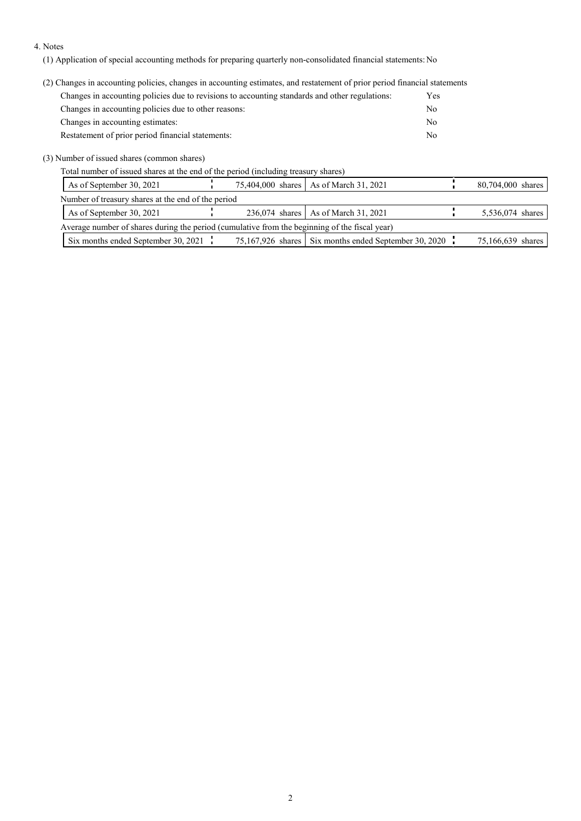#### 4. Notes

(1) Application of special accounting methods for preparing quarterly non-consolidated financial statements: No

(2) Changes in accounting policies, changes in accounting estimates, and restatement of prior period financial statements

| Changes in accounting policies due to revisions to accounting standards and other regulations: | Yes |
|------------------------------------------------------------------------------------------------|-----|
| Changes in accounting policies due to other reasons:                                           | No  |
| Changes in accounting estimates:                                                               | No  |
| Restatement of prior period financial statements:                                              | No  |

(3) Number of issued shares (common shares)

Total number of issued shares at the end of the period (including treasury shares)

| As of September 30, 2021                                                                      |  | 75,404,000 shares   As of March 31, 2021              | 80,704,000 shares |
|-----------------------------------------------------------------------------------------------|--|-------------------------------------------------------|-------------------|
| Number of treasury shares at the end of the period                                            |  |                                                       |                   |
| As of September 30, 2021                                                                      |  | 236,074 shares   As of March 31, 2021                 | 5,536,074 shares  |
| Average number of shares during the period (cumulative from the beginning of the fiscal year) |  |                                                       |                   |
| Six months ended September 30, 2021 $\frac{1}{1}$                                             |  | 75,167,926 shares Six months ended September 30, 2020 | 75,166,639 shares |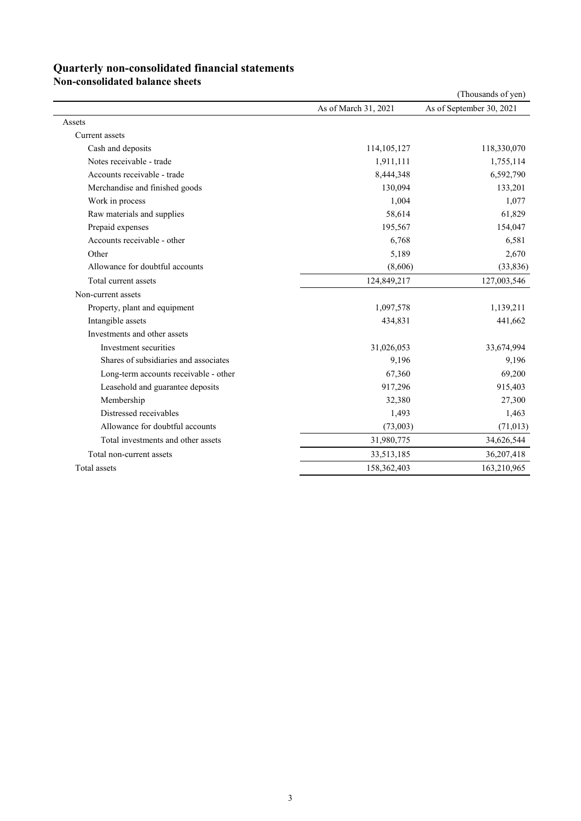### **Quarterly non-consolidated financial statements**

**Non-consolidated balance sheets**

|                                       |                      | (Thousands of yen)       |
|---------------------------------------|----------------------|--------------------------|
|                                       | As of March 31, 2021 | As of September 30, 2021 |
| Assets                                |                      |                          |
| Current assets                        |                      |                          |
| Cash and deposits                     | 114, 105, 127        | 118,330,070              |
| Notes receivable - trade              | 1,911,111            | 1,755,114                |
| Accounts receivable - trade           | 8,444,348            | 6,592,790                |
| Merchandise and finished goods        | 130,094              | 133,201                  |
| Work in process                       | 1,004                | 1,077                    |
| Raw materials and supplies            | 58,614               | 61,829                   |
| Prepaid expenses                      | 195,567              | 154,047                  |
| Accounts receivable - other           | 6,768                | 6,581                    |
| Other                                 | 5,189                | 2,670                    |
| Allowance for doubtful accounts       | (8,606)              | (33, 836)                |
| Total current assets                  | 124,849,217          | 127,003,546              |
| Non-current assets                    |                      |                          |
| Property, plant and equipment         | 1,097,578            | 1,139,211                |
| Intangible assets                     | 434,831              | 441,662                  |
| Investments and other assets          |                      |                          |
| Investment securities                 | 31,026,053           | 33,674,994               |
| Shares of subsidiaries and associates | 9,196                | 9,196                    |
| Long-term accounts receivable - other | 67,360               | 69,200                   |
| Leasehold and guarantee deposits      | 917,296              | 915,403                  |
| Membership                            | 32,380               | 27,300                   |
| Distressed receivables                | 1,493                | 1,463                    |
| Allowance for doubtful accounts       | (73,003)             | (71, 013)                |
| Total investments and other assets    | 31,980,775           | 34,626,544               |
| Total non-current assets              | 33,513,185           | 36,207,418               |
| Total assets                          | 158,362,403          | 163,210,965              |
|                                       |                      |                          |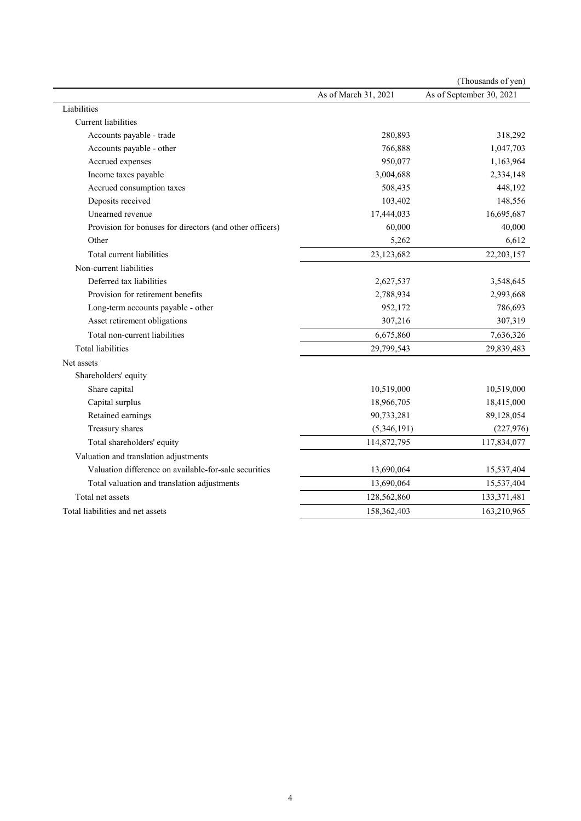|                                                          |                      | (Thousands of yen)       |
|----------------------------------------------------------|----------------------|--------------------------|
|                                                          | As of March 31, 2021 | As of September 30, 2021 |
| Liabilities                                              |                      |                          |
| <b>Current</b> liabilities                               |                      |                          |
| Accounts payable - trade                                 | 280,893              | 318,292                  |
| Accounts payable - other                                 | 766,888              | 1,047,703                |
| Accrued expenses                                         | 950,077              | 1,163,964                |
| Income taxes payable                                     | 3,004,688            | 2,334,148                |
| Accrued consumption taxes                                | 508,435              | 448,192                  |
| Deposits received                                        | 103,402              | 148,556                  |
| Unearned revenue                                         | 17,444,033           | 16,695,687               |
| Provision for bonuses for directors (and other officers) | 60,000               | 40,000                   |
| Other                                                    | 5,262                | 6,612                    |
| Total current liabilities                                | 23,123,682           | 22, 203, 157             |
| Non-current liabilities                                  |                      |                          |
| Deferred tax liabilities                                 | 2,627,537            | 3,548,645                |
| Provision for retirement benefits                        | 2,788,934            | 2,993,668                |
| Long-term accounts payable - other                       | 952,172              | 786,693                  |
| Asset retirement obligations                             | 307,216              | 307,319                  |
| Total non-current liabilities                            | 6,675,860            | 7,636,326                |
| Total liabilities                                        | 29,799,543           | 29,839,483               |
| Net assets                                               |                      |                          |
| Shareholders' equity                                     |                      |                          |
| Share capital                                            | 10,519,000           | 10,519,000               |
| Capital surplus                                          | 18,966,705           | 18,415,000               |
| Retained earnings                                        | 90,733,281           | 89,128,054               |
| Treasury shares                                          | (5,346,191)          | (227, 976)               |
| Total shareholders' equity                               | 114,872,795          | 117,834,077              |
| Valuation and translation adjustments                    |                      |                          |
| Valuation difference on available-for-sale securities    | 13,690,064           | 15,537,404               |
| Total valuation and translation adjustments              | 13,690,064           | 15,537,404               |
| Total net assets                                         | 128,562,860          | 133,371,481              |
| Total liabilities and net assets                         | 158,362,403          | 163,210,965              |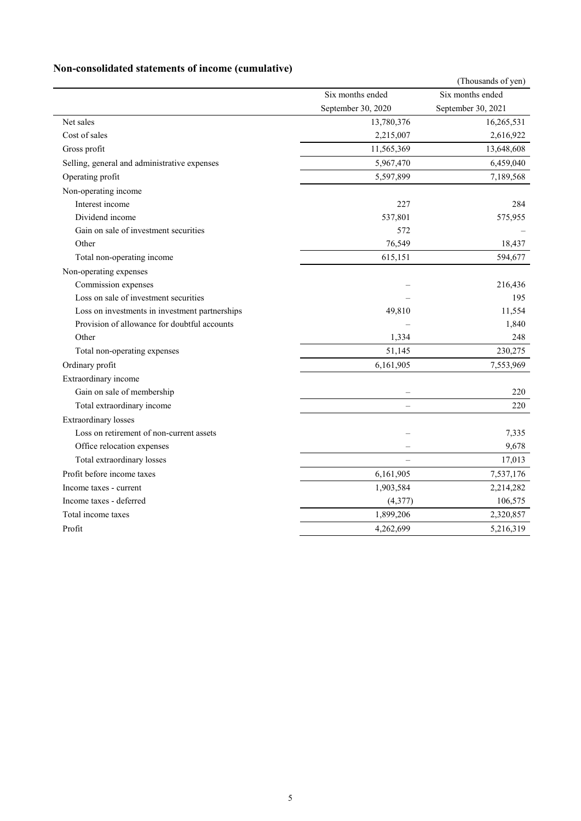## **Non-consolidated statements of income (cumulative)**

|                                                |                          | (Thousands of yen) |
|------------------------------------------------|--------------------------|--------------------|
|                                                | Six months ended         | Six months ended   |
|                                                | September 30, 2020       | September 30, 2021 |
| Net sales                                      | 13,780,376               | 16,265,531         |
| Cost of sales                                  | 2,215,007                | 2,616,922          |
| Gross profit                                   | 11,565,369               | 13,648,608         |
| Selling, general and administrative expenses   | 5,967,470                | 6,459,040          |
| Operating profit                               | 5,597,899                | 7,189,568          |
| Non-operating income                           |                          |                    |
| Interest income                                | 227                      | 284                |
| Dividend income                                | 537,801                  | 575,955            |
| Gain on sale of investment securities          | 572                      |                    |
| Other                                          | 76,549                   | 18,437             |
| Total non-operating income                     | 615,151                  | 594,677            |
| Non-operating expenses                         |                          |                    |
| Commission expenses                            |                          | 216,436            |
| Loss on sale of investment securities          |                          | 195                |
| Loss on investments in investment partnerships | 49,810                   | 11,554             |
| Provision of allowance for doubtful accounts   |                          | 1,840              |
| Other                                          | 1,334                    | 248                |
| Total non-operating expenses                   | 51,145                   | 230,275            |
| Ordinary profit                                | 6,161,905                | 7,553,969          |
| Extraordinary income                           |                          |                    |
| Gain on sale of membership                     | $\overline{\phantom{m}}$ | 220                |
| Total extraordinary income                     |                          | 220                |
| <b>Extraordinary</b> losses                    |                          |                    |
| Loss on retirement of non-current assets       |                          | 7,335              |
| Office relocation expenses                     |                          | 9,678              |
| Total extraordinary losses                     | $\equiv$                 | 17,013             |
| Profit before income taxes                     | 6,161,905                | 7,537,176          |
| Income taxes - current                         | 1,903,584                | 2,214,282          |
| Income taxes - deferred                        | (4,377)                  | 106,575            |
| Total income taxes                             | 1,899,206                | 2,320,857          |
| Profit                                         | 4,262,699                | 5,216,319          |
|                                                |                          |                    |